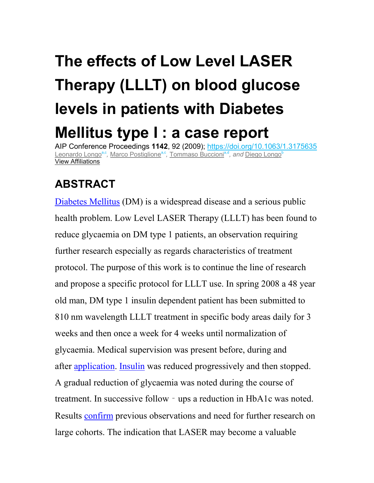## **The effects of Low Level LASER Therapy (LLLT) on blood glucose levels in patients with Diabetes Mellitus type I : a case report**

AIP Conference Proceedings **1142**, 92 (2009); https://doi.org/10.1063/1.3175635 Leonardo Longo<sup>a,c</sup>, Marco Postiglione<sup>a,c</sup>, Tommaso Buccioni<sup>a,d</sup>, a*nd* Diego Longo<sup>b</sup> View Affiliations

## **ABSTRACT**

Diabetes Mellitus (DM) is a widespread disease and a serious public health problem. Low Level LASER Therapy (LLLT) has been found to reduce glycaemia on DM type 1 patients, an observation requiring further research especially as regards characteristics of treatment protocol. The purpose of this work is to continue the line of research and propose a specific protocol for LLLT use. In spring 2008 a 48 year old man, DM type 1 insulin dependent patient has been submitted to 810 nm wavelength LLLT treatment in specific body areas daily for 3 weeks and then once a week for 4 weeks until normalization of glycaemia. Medical supervision was present before, during and after application. Insulin was reduced progressively and then stopped. A gradual reduction of glycaemia was noted during the course of treatment. In successive follow‐ups a reduction in HbA1c was noted. Results confirm previous observations and need for further research on large cohorts. The indication that LASER may become a valuable